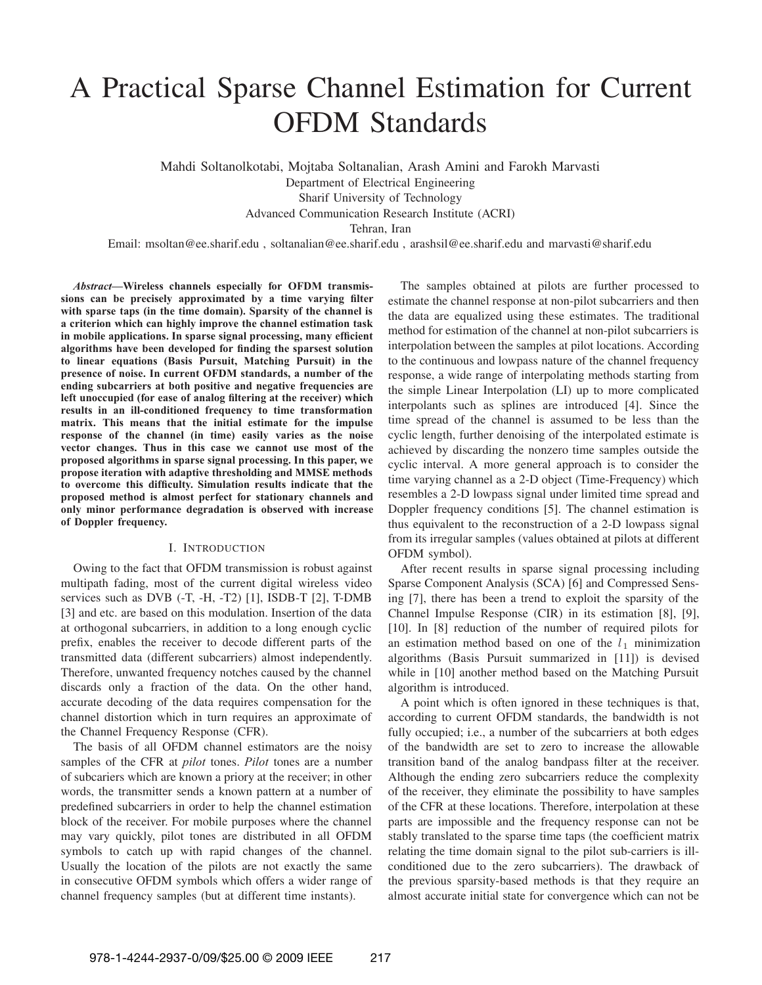# A Practical Sparse Channel Estimation for Current OFDM Standards

Mahdi Soltanolkotabi, Mojtaba Soltanalian, Arash Amini and Farokh Marvasti Department of Electrical Engineering Sharif University of Technology Advanced Communication Research Institute (ACRI) Tehran, Iran

Email: msoltan@ee.sharif.edu , soltanalian@ee.sharif.edu , arashsil@ee.sharif.edu and marvasti@sharif.edu

*Abstract***—Wireless channels especially for OFDM transmissions can be precisely approximated by a time varying filter with sparse taps (in the time domain). Sparsity of the channel is a criterion which can highly improve the channel estimation task in mobile applications. In sparse signal processing, many efficient algorithms have been developed for finding the sparsest solution to linear equations (Basis Pursuit, Matching Pursuit) in the presence of noise. In current OFDM standards, a number of the ending subcarriers at both positive and negative frequencies are left unoccupied (for ease of analog filtering at the receiver) which results in an ill-conditioned frequency to time transformation matrix. This means that the initial estimate for the impulse response of the channel (in time) easily varies as the noise vector changes. Thus in this case we cannot use most of the proposed algorithms in sparse signal processing. In this paper, we propose iteration with adaptive thresholding and MMSE methods to overcome this difficulty. Simulation results indicate that the proposed method is almost perfect for stationary channels and only minor performance degradation is observed with increase of Doppler frequency.**

# I. INTRODUCTION

Owing to the fact that OFDM transmission is robust against multipath fading, most of the current digital wireless video services such as DVB (-T, -H, -T2) [1], ISDB-T [2], T-DMB [3] and etc. are based on this modulation. Insertion of the data at orthogonal subcarriers, in addition to a long enough cyclic prefix, enables the receiver to decode different parts of the transmitted data (different subcarriers) almost independently. Therefore, unwanted frequency notches caused by the channel discards only a fraction of the data. On the other hand, accurate decoding of the data requires compensation for the channel distortion which in turn requires an approximate of the Channel Frequency Response (CFR).

The basis of all OFDM channel estimators are the noisy samples of the CFR at *pilot* tones. *Pilot* tones are a number of subcariers which are known a priory at the receiver; in other words, the transmitter sends a known pattern at a number of predefined subcarriers in order to help the channel estimation block of the receiver. For mobile purposes where the channel may vary quickly, pilot tones are distributed in all OFDM symbols to catch up with rapid changes of the channel. Usually the location of the pilots are not exactly the same in consecutive OFDM symbols which offers a wider range of channel frequency samples (but at different time instants).

The samples obtained at pilots are further processed to estimate the channel response at non-pilot subcarriers and then the data are equalized using these estimates. The traditional method for estimation of the channel at non-pilot subcarriers is interpolation between the samples at pilot locations. According to the continuous and lowpass nature of the channel frequency response, a wide range of interpolating methods starting from the simple Linear Interpolation (LI) up to more complicated interpolants such as splines are introduced [4]. Since the time spread of the channel is assumed to be less than the cyclic length, further denoising of the interpolated estimate is achieved by discarding the nonzero time samples outside the cyclic interval. A more general approach is to consider the time varying channel as a 2-D object (Time-Frequency) which resembles a 2-D lowpass signal under limited time spread and Doppler frequency conditions [5]. The channel estimation is thus equivalent to the reconstruction of a 2-D lowpass signal from its irregular samples (values obtained at pilots at different OFDM symbol).

After recent results in sparse signal processing including Sparse Component Analysis (SCA) [6] and Compressed Sensing [7], there has been a trend to exploit the sparsity of the Channel Impulse Response (CIR) in its estimation [8], [9], [10]. In [8] reduction of the number of required pilots for an estimation method based on one of the  $l_1$  minimization algorithms (Basis Pursuit summarized in [11]) is devised while in [10] another method based on the Matching Pursuit algorithm is introduced.

A point which is often ignored in these techniques is that, according to current OFDM standards, the bandwidth is not fully occupied; i.e., a number of the subcarriers at both edges of the bandwidth are set to zero to increase the allowable transition band of the analog bandpass filter at the receiver. Although the ending zero subcarriers reduce the complexity of the receiver, they eliminate the possibility to have samples of the CFR at these locations. Therefore, interpolation at these parts are impossible and the frequency response can not be stably translated to the sparse time taps (the coefficient matrix relating the time domain signal to the pilot sub-carriers is illconditioned due to the zero subcarriers). The drawback of the previous sparsity-based methods is that they require an almost accurate initial state for convergence which can not be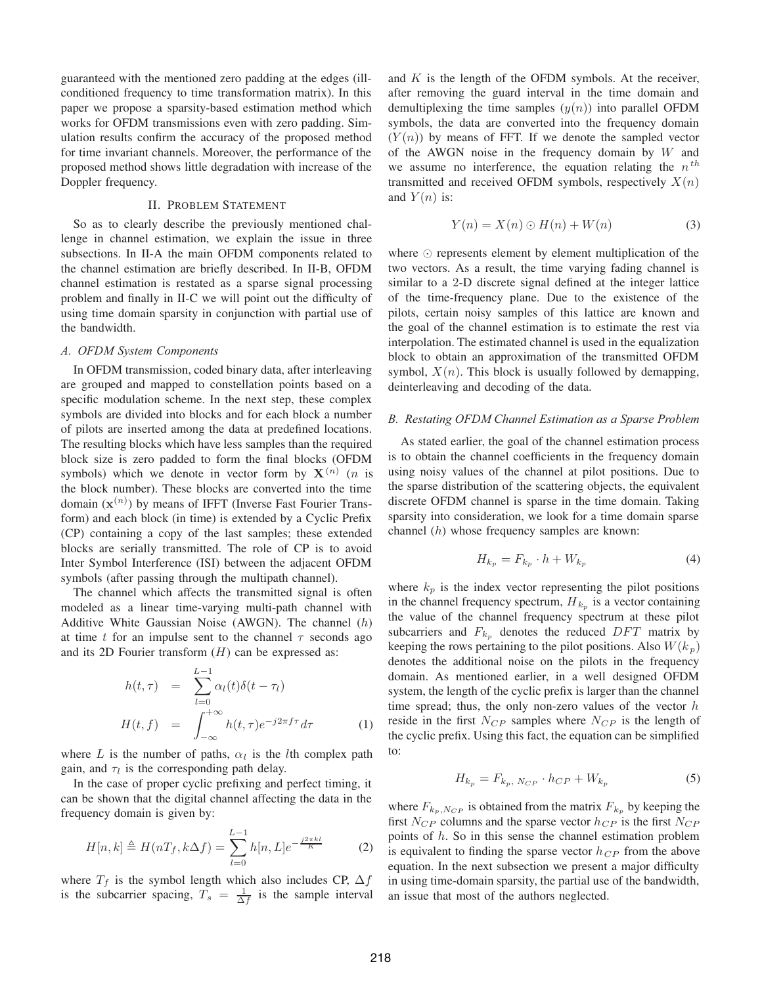guaranteed with the mentioned zero padding at the edges (illconditioned frequency to time transformation matrix). In this paper we propose a sparsity-based estimation method which works for OFDM transmissions even with zero padding. Simulation results confirm the accuracy of the proposed method for time invariant channels. Moreover, the performance of the proposed method shows little degradation with increase of the Doppler frequency.

# II. PROBLEM STATEMENT

So as to clearly describe the previously mentioned challenge in channel estimation, we explain the issue in three subsections. In II-A the main OFDM components related to the channel estimation are briefly described. In II-B, OFDM channel estimation is restated as a sparse signal processing problem and finally in II-C we will point out the difficulty of using time domain sparsity in conjunction with partial use of the bandwidth.

## *A. OFDM System Components*

In OFDM transmission, coded binary data, after interleaving are grouped and mapped to constellation points based on a specific modulation scheme. In the next step, these complex symbols are divided into blocks and for each block a number of pilots are inserted among the data at predefined locations. The resulting blocks which have less samples than the required block size is zero padded to form the final blocks (OFDM symbols) which we denote in vector form by  $X^{(n)}$  (*n* is the block number). These blocks are converted into the time domain (**x**(n) ) by means of IFFT (Inverse Fast Fourier Transform) and each block (in time) is extended by a Cyclic Prefix (CP) containing a copy of the last samples; these extended blocks are serially transmitted. The role of CP is to avoid Inter Symbol Interference (ISI) between the adjacent OFDM symbols (after passing through the multipath channel).

The channel which affects the transmitted signal is often modeled as a linear time-varying multi-path channel with Additive White Gaussian Noise (AWGN). The channel (h) at time t for an impulse sent to the channel  $\tau$  seconds ago and its 2D Fourier transform  $(H)$  can be expressed as:

$$
h(t,\tau) = \sum_{l=0}^{L-1} \alpha_l(t)\delta(t-\tau_l)
$$

$$
H(t,f) = \int_{-\infty}^{+\infty} h(t,\tau)e^{-j2\pi f\tau}d\tau
$$
(1)

where L is the number of paths,  $\alpha_l$  is the lth complex path gain, and  $\tau_l$  is the corresponding path delay.

In the case of proper cyclic prefixing and perfect timing, it can be shown that the digital channel affecting the data in the frequency domain is given by:

$$
H[n,k] \triangleq H(nT_f, k\Delta f) = \sum_{l=0}^{L-1} h[n, L] e^{-\frac{j2\pi kl}{K}} \tag{2}
$$

where  $T_f$  is the symbol length which also includes CP,  $\Delta f$ is the subcarrier spacing,  $T_s = \frac{1}{\Delta f}$  is the sample interval and  $K$  is the length of the OFDM symbols. At the receiver, after removing the guard interval in the time domain and demultiplexing the time samples  $(y(n))$  into parallel OFDM symbols, the data are converted into the frequency domain  $(Y(n))$  by means of FFT. If we denote the sampled vector of the AWGN noise in the frequency domain by  $W$  and we assume no interference, the equation relating the  $n<sup>th</sup>$ transmitted and received OFDM symbols, respectively  $X(n)$ and  $Y(n)$  is:

$$
Y(n) = X(n) \odot H(n) + W(n) \tag{3}
$$

where  $\odot$  represents element by element multiplication of the two vectors. As a result, the time varying fading channel is similar to a 2-D discrete signal defined at the integer lattice of the time-frequency plane. Due to the existence of the pilots, certain noisy samples of this lattice are known and the goal of the channel estimation is to estimate the rest via interpolation. The estimated channel is used in the equalization block to obtain an approximation of the transmitted OFDM symbol,  $X(n)$ . This block is usually followed by demapping, deinterleaving and decoding of the data.

#### *B. Restating OFDM Channel Estimation as a Sparse Problem*

As stated earlier, the goal of the channel estimation process is to obtain the channel coefficients in the frequency domain using noisy values of the channel at pilot positions. Due to the sparse distribution of the scattering objects, the equivalent discrete OFDM channel is sparse in the time domain. Taking sparsity into consideration, we look for a time domain sparse channel (h) whose frequency samples are known:

$$
H_{k_p} = F_{k_p} \cdot h + W_{k_p} \tag{4}
$$

where  $k_p$  is the index vector representing the pilot positions in the channel frequency spectrum,  $H_{k_p}$  is a vector containing the value of the channel frequency spectrum at these pilot subcarriers and  $F_{k_p}$  denotes the reduced DFT matrix by keeping the rows pertaining to the pilot positions. Also  $W(k_p)$ denotes the additional noise on the pilots in the frequency domain. As mentioned earlier, in a well designed OFDM system, the length of the cyclic prefix is larger than the channel time spread; thus, the only non-zero values of the vector  $h$ reside in the first  $N_{CP}$  samples where  $N_{CP}$  is the length of the cyclic prefix. Using this fact, the equation can be simplified to:

$$
H_{k_p} = F_{k_p, N_{CP}} \cdot h_{CP} + W_{k_p} \tag{5}
$$

where  $F_{k_p, N_{CP}}$  is obtained from the matrix  $F_{k_p}$  by keeping the first  $N_{CP}$  columns and the sparse vector  $h_{CP}$  is the first  $N_{CP}$ points of h. So in this sense the channel estimation problem is equivalent to finding the sparse vector  $h_{CP}$  from the above equation. In the next subsection we present a major difficulty in using time-domain sparsity, the partial use of the bandwidth, an issue that most of the authors neglected.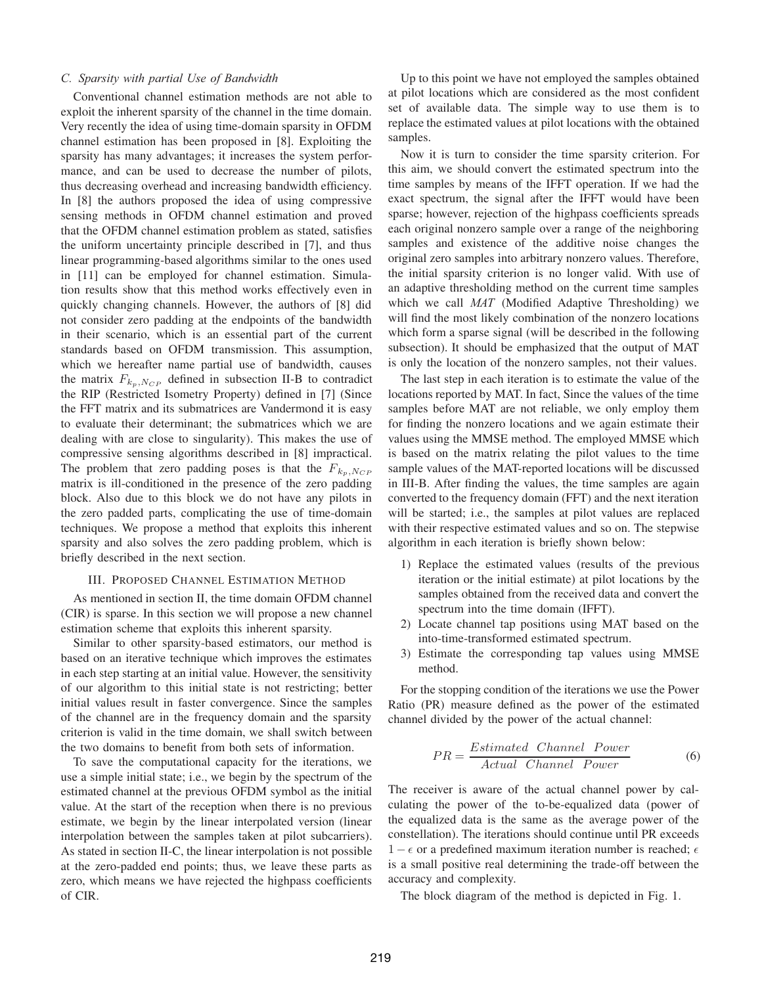# *C. Sparsity with partial Use of Bandwidth*

Conventional channel estimation methods are not able to exploit the inherent sparsity of the channel in the time domain. Very recently the idea of using time-domain sparsity in OFDM channel estimation has been proposed in [8]. Exploiting the sparsity has many advantages; it increases the system performance, and can be used to decrease the number of pilots, thus decreasing overhead and increasing bandwidth efficiency. In [8] the authors proposed the idea of using compressive sensing methods in OFDM channel estimation and proved that the OFDM channel estimation problem as stated, satisfies the uniform uncertainty principle described in [7], and thus linear programming-based algorithms similar to the ones used in [11] can be employed for channel estimation. Simulation results show that this method works effectively even in quickly changing channels. However, the authors of [8] did not consider zero padding at the endpoints of the bandwidth in their scenario, which is an essential part of the current standards based on OFDM transmission. This assumption, which we hereafter name partial use of bandwidth, causes the matrix  $F_{k_p,N_{CP}}$  defined in subsection II-B to contradict the RIP (Restricted Isometry Property) defined in [7] (Since the FFT matrix and its submatrices are Vandermond it is easy to evaluate their determinant; the submatrices which we are dealing with are close to singularity). This makes the use of compressive sensing algorithms described in [8] impractical. The problem that zero padding poses is that the  $F_{k_p,N_{CP}}$ matrix is ill-conditioned in the presence of the zero padding block. Also due to this block we do not have any pilots in the zero padded parts, complicating the use of time-domain techniques. We propose a method that exploits this inherent sparsity and also solves the zero padding problem, which is briefly described in the next section.

#### III. PROPOSED CHANNEL ESTIMATION METHOD

As mentioned in section II, the time domain OFDM channel (CIR) is sparse. In this section we will propose a new channel estimation scheme that exploits this inherent sparsity.

Similar to other sparsity-based estimators, our method is based on an iterative technique which improves the estimates in each step starting at an initial value. However, the sensitivity of our algorithm to this initial state is not restricting; better initial values result in faster convergence. Since the samples of the channel are in the frequency domain and the sparsity criterion is valid in the time domain, we shall switch between the two domains to benefit from both sets of information.

To save the computational capacity for the iterations, we use a simple initial state; i.e., we begin by the spectrum of the estimated channel at the previous OFDM symbol as the initial value. At the start of the reception when there is no previous estimate, we begin by the linear interpolated version (linear interpolation between the samples taken at pilot subcarriers). As stated in section II-C, the linear interpolation is not possible at the zero-padded end points; thus, we leave these parts as zero, which means we have rejected the highpass coefficients of CIR.

Up to this point we have not employed the samples obtained at pilot locations which are considered as the most confident set of available data. The simple way to use them is to replace the estimated values at pilot locations with the obtained samples.

Now it is turn to consider the time sparsity criterion. For this aim, we should convert the estimated spectrum into the time samples by means of the IFFT operation. If we had the exact spectrum, the signal after the IFFT would have been sparse; however, rejection of the highpass coefficients spreads each original nonzero sample over a range of the neighboring samples and existence of the additive noise changes the original zero samples into arbitrary nonzero values. Therefore, the initial sparsity criterion is no longer valid. With use of an adaptive thresholding method on the current time samples which we call *MAT* (Modified Adaptive Thresholding) we will find the most likely combination of the nonzero locations which form a sparse signal (will be described in the following subsection). It should be emphasized that the output of MAT is only the location of the nonzero samples, not their values.

The last step in each iteration is to estimate the value of the locations reported by MAT. In fact, Since the values of the time samples before MAT are not reliable, we only employ them for finding the nonzero locations and we again estimate their values using the MMSE method. The employed MMSE which is based on the matrix relating the pilot values to the time sample values of the MAT-reported locations will be discussed in III-B. After finding the values, the time samples are again converted to the frequency domain (FFT) and the next iteration will be started; i.e., the samples at pilot values are replaced with their respective estimated values and so on. The stepwise algorithm in each iteration is briefly shown below:

- 1) Replace the estimated values (results of the previous iteration or the initial estimate) at pilot locations by the samples obtained from the received data and convert the spectrum into the time domain (IFFT).
- 2) Locate channel tap positions using MAT based on the into-time-transformed estimated spectrum.
- 3) Estimate the corresponding tap values using MMSE method.

For the stopping condition of the iterations we use the Power Ratio (PR) measure defined as the power of the estimated channel divided by the power of the actual channel:

$$
PR = \frac{Estimated \ Channel \ Power}{Actual \ Channel \ Power}
$$
 (6)

The receiver is aware of the actual channel power by calculating the power of the to-be-equalized data (power of the equalized data is the same as the average power of the constellation). The iterations should continue until PR exceeds  $1 - \epsilon$  or a predefined maximum iteration number is reached;  $\epsilon$ is a small positive real determining the trade-off between the accuracy and complexity.

The block diagram of the method is depicted in Fig. 1.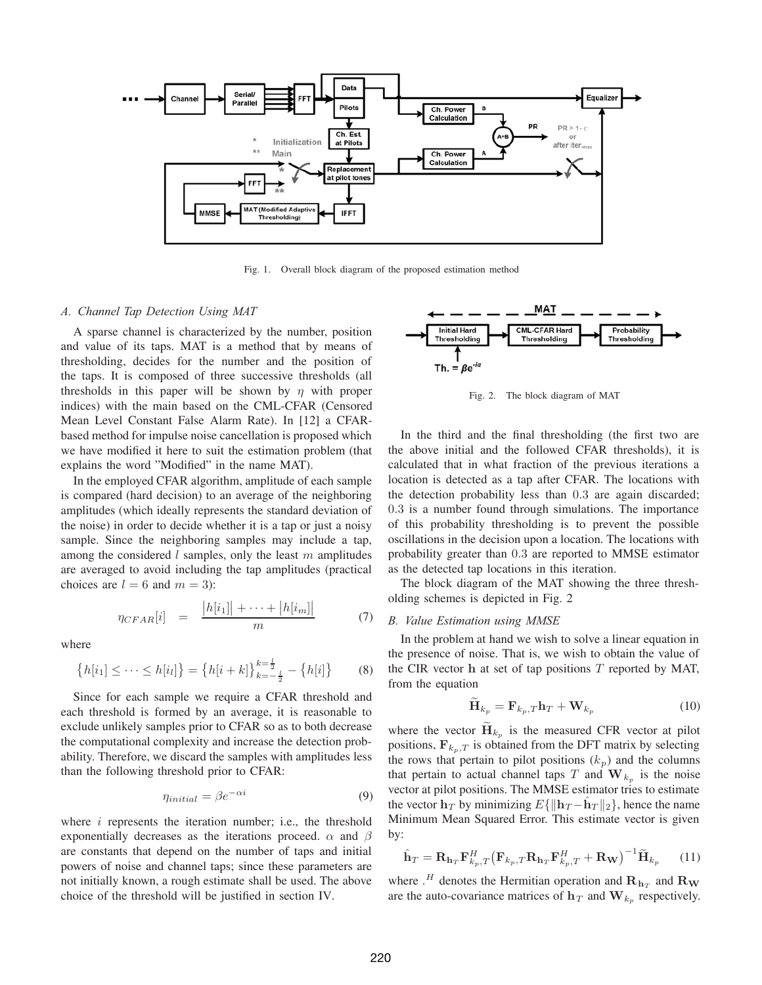

Fig. 1. Overall block diagram of the proposed estimation method

#### *A. Channel Tap Detection Using MAT*

A sparse channel is characterized by the number, position and value of its taps. MAT is a method that by means of thresholding, decides for the number and the position of the taps. It is composed of three successive thresholds (all thresholds in this paper will be shown by  $\eta$  with proper indices) with the main based on the CML-CFAR (Censored Mean Level Constant False Alarm Rate). In [12] a CFARbased method for impulse noise cancellation is proposed which we have modified it here to suit the estimation problem (that explains the word "Modified" in the name MAT).

In the employed CFAR algorithm, amplitude of each sample is compared (hard decision) to an average of the neighboring amplitudes (which ideally represents the standard deviation of the noise) in order to decide whether it is a tap or just a noisy sample. Since the neighboring samples may include a tap, among the considered  $l$  samples, only the least  $m$  amplitudes are averaged to avoid including the tap amplitudes (practical choices are  $l = 6$  and  $m = 3$ ):

$$
\eta_{CFAR}[i] = \frac{|h[i_1]| + \dots + |h[i_m]|}{m} \tag{7}
$$

where

$$
\{h[i_1] \leq \cdots \leq h[i_l]\} = \{h[i+k]\}_{k=-\frac{1}{2}}^{k=\frac{l}{2}} - \{h[i]\} \tag{8}
$$

Since for each sample we require a CFAR threshold and each threshold is formed by an average, it is reasonable to exclude unlikely samples prior to CFAR so as to both decrease the computational complexity and increase the detection probability. Therefore, we discard the samples with amplitudes less than the following threshold prior to CFAR:

$$
\eta_{initial} = \beta e^{-\alpha i} \tag{9}
$$

where  $i$  represents the iteration number; i.e., the threshold exponentially decreases as the iterations proceed.  $\alpha$  and  $\beta$ are constants that depend on the number of taps and initial powers of noise and channel taps; since these parameters are not initially known, a rough estimate shall be used. The above choice of the threshold will be justified in section IV.



Fig. 2. The block diagram of MAT

In the third and the final thresholding (the first two are the above initial and the followed CFAR thresholds), it is calculated that in what fraction of the previous iterations a location is detected as a tap after CFAR. The locations with the detection probability less than 0.3 are again discarded; 0.3 is a number found through simulations. The importance of this probability thresholding is to prevent the possible oscillations in the decision upon a location. The locations with probability greater than 0.3 are reported to MMSE estimator as the detected tap locations in this iteration.

The block diagram of the MAT showing the three thresholding schemes is depicted in Fig. 2

# *B. Value Estimation using MMSE*

In the problem at hand we wish to solve a linear equation in the presence of noise. That is, we wish to obtain the value of the CIR vector  $h$  at set of tap positions  $T$  reported by MAT, from the equation

$$
\widetilde{\mathbf{H}}_{k_p} = \mathbf{F}_{k_p,T} \mathbf{h}_T + \mathbf{W}_{k_p} \tag{10}
$$

where the vector  $H_{k_p}$  is the measured CFR vector at pilot positions,  $\mathbf{F}_{k_p,T}$  is obtained from the DFT matrix by selecting the rows that pertain to pilot positions  $(k_p)$  and the columns that pertain to actual channel taps T and  $\mathbf{W}_{k_p}$  is the noise vector at pilot positions. The MMSE estimator tries to estimate the vector **h**<sub>T</sub> by minimizing  $E{\{\|\mathbf{h}_T - \mathbf{h}_T\|_2\}}$ , hence the name Minimum Mean Squared Error. This estimate vector is given by:

$$
\hat{\mathbf{h}}_T = \mathbf{R}_{\mathbf{h}_T} \mathbf{F}_{k_p,T}^H \left( \mathbf{F}_{k_p,T} \mathbf{R}_{\mathbf{h}_T} \mathbf{F}_{k_p,T}^H + \mathbf{R}_{\mathbf{W}} \right)^{-1} \widetilde{\mathbf{H}}_{k_p} \qquad (11)
$$

where  $\cdot$ <sup>*H*</sup> denotes the Hermitian operation and  $\mathbf{R}_{\mathbf{h}_T}$  and  $\mathbf{R}_{\mathbf{W}}$ are the auto-covariance matrices of  $\mathbf{h}_T$  and  $\mathbf{W}_{k_p}$  respectively.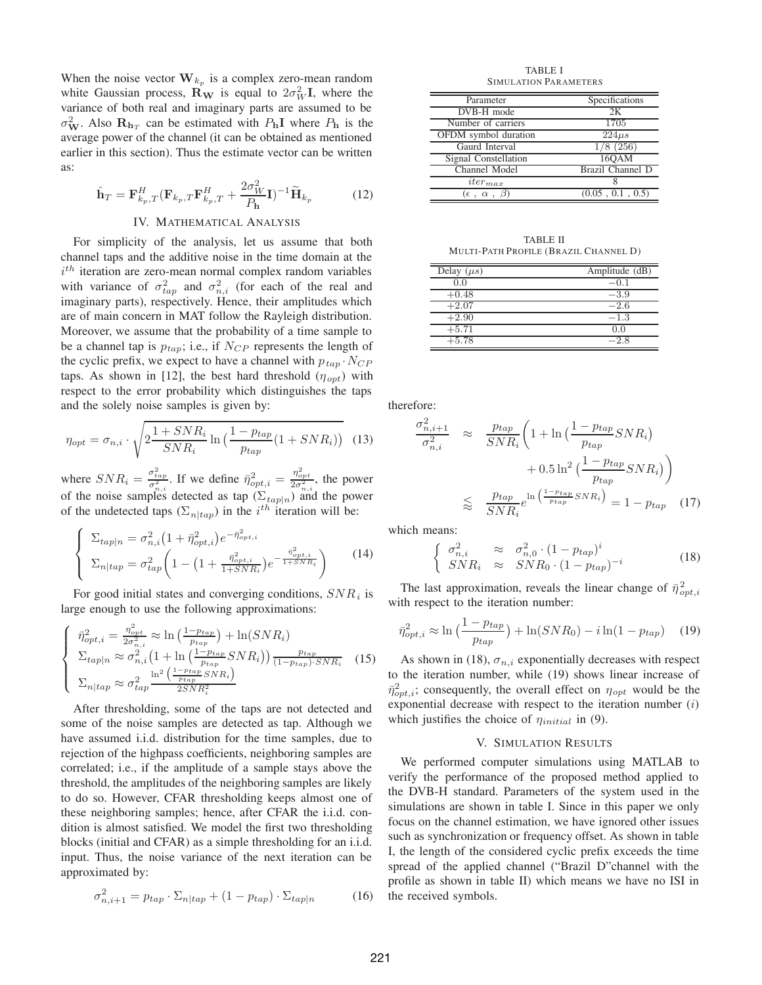When the noise vector  $\mathbf{W}_{k_p}$  is a complex zero-mean random white Gaussian process,  $\mathbf{R}_{\mathbf{W}}^{V}$  is equal to  $2\sigma_{W}^{2}\mathbf{I}$ , where the variance of both real and imaginary parts are assumed to be  $\sigma_{\mathbf{W}}^2$ . Also  $\mathbf{R}_{\mathbf{h}_T}$  can be estimated with  $P_{\mathbf{h}}$ **I** where  $P_{\mathbf{h}}$  is the average power of the channel (it can be obtained as mentioned earlier in this section). Thus the estimate vector can be written as:

$$
\hat{\mathbf{h}}_T = \mathbf{F}_{k_p,T}^H (\mathbf{F}_{k_p,T} \mathbf{F}_{k_p,T}^H + \frac{2\sigma_W^2}{P_\mathbf{h}} \mathbf{I})^{-1} \widetilde{\mathbf{H}}_{k_p} \tag{12}
$$

### IV. MATHEMATICAL ANALYSIS

For simplicity of the analysis, let us assume that both channel taps and the additive noise in the time domain at the  $i^{th}$  iteration are zero-mean normal complex random variables with variance of  $\sigma_{tap}^2$  and  $\sigma_{n,i}^2$  (for each of the real and imaginary parts), respectively. Hence, their amplitudes which are of main concern in MAT follow the Rayleigh distribution. Moreover, we assume that the probability of a time sample to be a channel tap is  $p_{tap}$ ; i.e., if  $N_{CP}$  represents the length of the cyclic prefix, we expect to have a channel with  $p_{tap} \cdot N_{CP}$ taps. As shown in [12], the best hard threshold  $(\eta_{opt})$  with respect to the error probability which distinguishes the taps and the solely noise samples is given by:

$$
\eta_{opt} = \sigma_{n,i} \cdot \sqrt{2 \frac{1 + SNR_i}{SNR_i} \ln \left( \frac{1 - p_{tap}}{p_{tap}} (1 + SNR_i) \right)}
$$
(13)

where  $SNR_i = \frac{\sigma_{tap}^2}{\sigma_{n,i}^2}$ . If we define  $\bar{\eta}_{opt,i}^2 = \frac{\eta_{opt}^2}{2\sigma_{n,i}^2}$ , the power of the noise samples detected as tap  $(\sum_{tap|n})$  and the power of the undetected taps  $(\Sigma_n|_{tap})$  in the i<sup>th iteration</sup> will be:

$$
\begin{cases} \Sigma_{tap|n} = \sigma_{n,i}^2 \left( 1 + \bar{\eta}_{opt,i}^2 \right) e^{-\bar{\eta}_{opt,i}^2} \\ \Sigma_{n|tap} = \sigma_{tap}^2 \left( 1 - \left( 1 + \frac{\bar{\eta}_{opt,i}^2}{1 + SNR_i} \right) e^{-\frac{\bar{\eta}_{opt,i}^2}{1 + SNR_i}} \right) \end{cases}
$$
(14)

For good initial states and converging conditions,  $SNR_i$  is large enough to use the following approximations:

$$
\begin{cases}\n\bar{\eta}_{opt,i}^2 = \frac{\eta_{opt}^2}{2\sigma_{n,i}^2} \approx \ln\left(\frac{1 - p_{tap}}{p_{tap}}\right) + \ln(SNR_i) \\
\sum_{tap|n} \approx \sigma_{n,i}^2 \left(1 + \ln\left(\frac{1 - p_{tap}}{p_{tap}} SNR_i\right)\right) \frac{p_{tap}}{(1 - p_{tap}) \cdot SNR_i} \\
\sum_{n|tap} \approx \sigma_{tap}^2 \frac{\ln^2\left(\frac{1 - p_{tap}}{p_{tap}} SNR_i\right)}{2SNR_i^2}\n\end{cases} (15)
$$

After thresholding, some of the taps are not detected and some of the noise samples are detected as tap. Although we have assumed i.i.d. distribution for the time samples, due to rejection of the highpass coefficients, neighboring samples are correlated; i.e., if the amplitude of a sample stays above the threshold, the amplitudes of the neighboring samples are likely to do so. However, CFAR thresholding keeps almost one of these neighboring samples; hence, after CFAR the i.i.d. condition is almost satisfied. We model the first two thresholding blocks (initial and CFAR) as a simple thresholding for an i.i.d. input. Thus, the noise variance of the next iteration can be approximated by:

$$
\sigma_{n,i+1}^2 = p_{tap} \cdot \Sigma_{n|tap} + (1 - p_{tap}) \cdot \Sigma_{tap|n}
$$
 (16)

TABLE I SIMULATION PARAMETERS

| Parameter                         | Specifications   |
|-----------------------------------|------------------|
| DVB-H mode                        | 2K               |
| Number of carriers                | 1705             |
| OFDM symbol duration              | $224\mu s$       |
| Gaurd Interval                    | 1/8(256)         |
| Signal Constellation              | 160AM            |
| Channel Model                     | Brazil Channel D |
| $iter_{max}$                      |                  |
| $(\epsilon$ , $\alpha$ , $\beta)$ | (0.05, 0.1, 0.5) |

TABLE II MULTI-PATH PROFILE (BRAZIL CHANNEL D)

| Delay $(\mu s)$ | Amplitude (dB) |
|-----------------|----------------|
| 0.0             | $-0.1$         |
| $+0.48$         | $-3.9$         |
| $+2.07$         | $-2.6$         |
| $+2.90$         | $-1.3$         |
| $+5.71$         |                |
| $+5.78$         | $-2.8$         |
|                 |                |

therefore:

$$
\frac{\sigma_{n,i+1}^2}{\sigma_{n,i}^2} \approx \frac{p_{tap}}{SNR_i} \left( 1 + \ln \left( \frac{1 - p_{tap}}{p_{tap}} SNR_i \right) + 0.5 \ln^2 \left( \frac{1 - p_{tap}}{p_{tap}} SNR_i \right) \right)
$$

$$
\lesssim \frac{p_{tap}}{SNR_i} e^{\ln \left( \frac{1 - p_{tap}}{p_{tap}} SNR_i \right)} = 1 - p_{tap} \quad (17)
$$

which means:

$$
\begin{cases}\n\sigma_{n,i}^2 & \approx \sigma_{n,0}^2 \cdot (1 - p_{tap})^i \\
SNR_i & \approx \; SNR_0 \cdot (1 - p_{tap})^{-i}\n\end{cases}
$$
\n(18)

The last approximation, reveals the linear change of  $\bar{\eta}^2_{opt,i}$ with respect to the iteration number:

$$
\bar{\eta}_{opt,i}^2 \approx \ln\left(\frac{1 - p_{tap}}{p_{tap}}\right) + \ln(SNR_0) - i\ln(1 - p_{tap}) \quad (19)
$$

As shown in (18),  $\sigma_{n,i}$  exponentially decreases with respect to the iteration number, while (19) shows linear increase of  $\bar{\eta}_{opt,i}^2$ ; consequently, the overall effect on  $\eta_{opt}$  would be the exponential decrease with respect to the iteration number  $(i)$ which justifies the choice of  $\eta_{initial}$  in (9).

## V. SIMULATION RESULTS

We performed computer simulations using MATLAB to verify the performance of the proposed method applied to the DVB-H standard. Parameters of the system used in the simulations are shown in table I. Since in this paper we only focus on the channel estimation, we have ignored other issues such as synchronization or frequency offset. As shown in table I, the length of the considered cyclic prefix exceeds the time spread of the applied channel ("Brazil D"channel with the profile as shown in table II) which means we have no ISI in the received symbols.